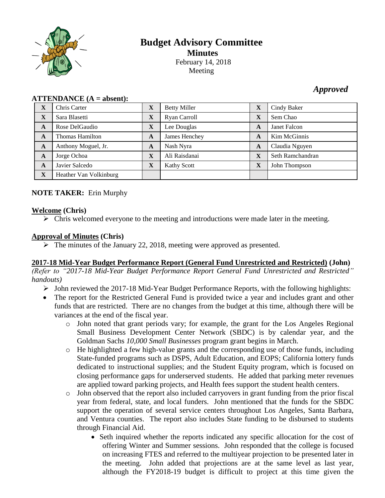

# **Budget Advisory Committee Minutes** February 14, 2018 Meeting

# *Approved*

| X           | Chris Carter           | $\mathbf X$  | <b>Betty Miller</b> | $\mathbf X$  | Cindy Baker      |
|-------------|------------------------|--------------|---------------------|--------------|------------------|
| X           | Sara Blasetti          | X            | Ryan Carroll        | X            | Sem Chao         |
| A           | Rose DelGaudio         | $\mathbf{X}$ | Lee Douglas         | A            | Janet Falcon     |
| A           | Thomas Hamilton        | A            | James Henchey       | $\mathbf{A}$ | Kim McGinnis     |
| A           | Anthony Moguel, Jr.    | A            | Nash Nyra           | A            | Claudia Nguyen   |
| A           | Jorge Ochoa            | $\mathbf X$  | Ali Raisdanai       | X            | Seth Ramchandran |
| A           | Javier Salcedo         | $\mathbf X$  | <b>Kathy Scott</b>  | $\mathbf X$  | John Thompson    |
| $\mathbf X$ | Heather Van Volkinburg |              |                     |              |                  |

#### $ATTENDANCE (A = absent):$

#### **NOTE TAKER:** Erin Murphy

#### **Welcome (Chris)**

 $\triangleright$  Chris welcomed everyone to the meeting and introductions were made later in the meeting.

## **Approval of Minutes (Chris)**

 $\triangleright$  The minutes of the January 22, 2018, meeting were approved as presented.

#### **2017-18 Mid-Year Budget Performance Report (General Fund Unrestricted and Restricted) (John)**

*(Refer to "2017-18 Mid-Year Budget Performance Report General Fund Unrestricted and Restricted" handouts)*

- John reviewed the 2017-18 Mid-Year Budget Performance Reports, with the following highlights:
- The report for the Restricted General Fund is provided twice a year and includes grant and other funds that are restricted. There are no changes from the budget at this time, although there will be variances at the end of the fiscal year.
	- o John noted that grant periods vary; for example, the grant for the Los Angeles Regional Small Business Development Center Network (SBDC) is by calendar year, and the Goldman Sachs *10,000 Small Businesses* program grant begins in March.
	- o He highlighted a few high-value grants and the corresponding use of those funds, including State-funded programs such as DSPS, Adult Education, and EOPS; California lottery funds dedicated to instructional supplies; and the Student Equity program, which is focused on closing performance gaps for underserved students. He added that parking meter revenues are applied toward parking projects, and Health fees support the student health centers.
	- o John observed that the report also included carryovers in grant funding from the prior fiscal year from federal, state, and local funders. John mentioned that the funds for the SBDC support the operation of several service centers throughout Los Angeles, Santa Barbara, and Ventura counties. The report also includes State funding to be disbursed to students through Financial Aid.
		- Seth inquired whether the reports indicated any specific allocation for the cost of offering Winter and Summer sessions. John responded that the college is focused on increasing FTES and referred to the multiyear projection to be presented later in the meeting. John added that projections are at the same level as last year, although the FY2018-19 budget is difficult to project at this time given the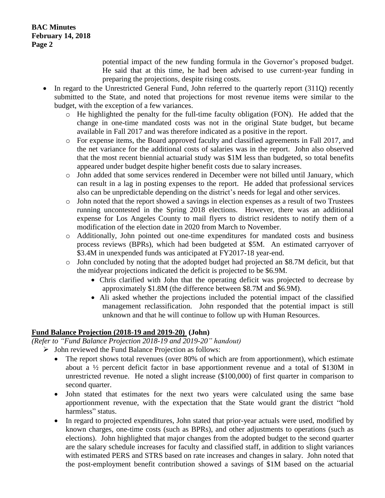potential impact of the new funding formula in the Governor's proposed budget. He said that at this time, he had been advised to use current-year funding in preparing the projections, despite rising costs.

- In regard to the Unrestricted General Fund, John referred to the quarterly report (311Q) recently submitted to the State, and noted that projections for most revenue items were similar to the budget, with the exception of a few variances.
	- o He highlighted the penalty for the full-time faculty obligation (FON). He added that the change in one-time mandated costs was not in the original State budget, but became available in Fall 2017 and was therefore indicated as a positive in the report.
	- o For expense items, the Board approved faculty and classified agreements in Fall 2017, and the net variance for the additional costs of salaries was in the report. John also observed that the most recent biennial actuarial study was \$1M less than budgeted, so total benefits appeared under budget despite higher benefit costs due to salary increases.
	- o John added that some services rendered in December were not billed until January, which can result in a lag in posting expenses to the report. He added that professional services also can be unpredictable depending on the district's needs for legal and other services.
	- o John noted that the report showed a savings in election expenses as a result of two Trustees running uncontested in the Spring 2018 elections. However, there was an additional expense for Los Angeles County to mail flyers to district residents to notify them of a modification of the election date in 2020 from March to November.
	- o Additionally, John pointed out one-time expenditures for mandated costs and business process reviews (BPRs), which had been budgeted at \$5M. An estimated carryover of \$3.4M in unexpended funds was anticipated at FY2017-18 year-end.
	- o John concluded by noting that the adopted budget had projected an \$8.7M deficit, but that the midyear projections indicated the deficit is projected to be \$6.9M.
		- Chris clarified with John that the operating deficit was projected to decrease by approximately \$1.8M (the difference between \$8.7M and \$6.9M).
		- Ali asked whether the projections included the potential impact of the classified management reclassification. John responded that the potential impact is still unknown and that he will continue to follow up with Human Resources.

# **Fund Balance Projection (2018-19 and 2019-20) (John)**

*(Refer to "Fund Balance Projection 2018-19 and 2019-20" handout)*

- $\triangleright$  John reviewed the Fund Balance Projection as follows:
	- The report shows total revenues (over 80% of which are from apportionment), which estimate about a ½ percent deficit factor in base apportionment revenue and a total of \$130M in unrestricted revenue. He noted a slight increase (\$100,000) of first quarter in comparison to second quarter.
	- John stated that estimates for the next two years were calculated using the same base apportionment revenue, with the expectation that the State would grant the district "hold harmless" status.
	- In regard to projected expenditures, John stated that prior-year actuals were used, modified by known charges, one-time costs (such as BPRs), and other adjustments to operations (such as elections). John highlighted that major changes from the adopted budget to the second quarter are the salary schedule increases for faculty and classified staff, in addition to slight variances with estimated PERS and STRS based on rate increases and changes in salary. John noted that the post-employment benefit contribution showed a savings of \$1M based on the actuarial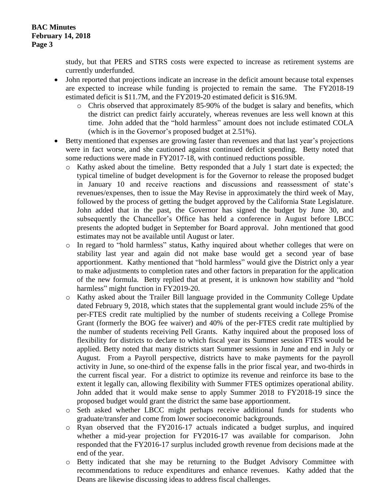study, but that PERS and STRS costs were expected to increase as retirement systems are currently underfunded.

- John reported that projections indicate an increase in the deficit amount because total expenses are expected to increase while funding is projected to remain the same. The FY2018-19 estimated deficit is \$11.7M, and the FY2019-20 estimated deficit is \$16.9M.
	- o Chris observed that approximately 85-90% of the budget is salary and benefits, which the district can predict fairly accurately, whereas revenues are less well known at this time. John added that the "hold harmless" amount does not include estimated COLA (which is in the Governor's proposed budget at 2.51%).
- Betty mentioned that expenses are growing faster than revenues and that last year's projections were in fact worse, and she cautioned against continued deficit spending. Betty noted that some reductions were made in FY2017-18, with continued reductions possible.
	- o Kathy asked about the timeline. Betty responded that a July 1 start date is expected; the typical timeline of budget development is for the Governor to release the proposed budget in January 10 and receive reactions and discussions and reassessment of state's revenues/expenses, then to issue the May Revise in approximately the third week of May, followed by the process of getting the budget approved by the California State Legislature. John added that in the past, the Governor has signed the budget by June 30, and subsequently the Chancellor's Office has held a conference in August before LBCC presents the adopted budget in September for Board approval. John mentioned that good estimates may not be available until August or later.
	- In regard to "hold harmless" status, Kathy inquired about whether colleges that were on stability last year and again did not make base would get a second year of base apportionment. Kathy mentioned that "hold harmless" would give the District only a year to make adjustments to completion rates and other factors in preparation for the application of the new formula. Betty replied that at present, it is unknown how stability and "hold harmless" might function in FY2019-20.
	- o Kathy asked about the Trailer Bill language provided in the Community College Update dated February 9, 2018, which states that the supplemental grant would include 25% of the per-FTES credit rate multiplied by the number of students receiving a College Promise Grant (formerly the BOG fee waiver) and 40% of the per-FTES credit rate multiplied by the number of students receiving Pell Grants. Kathy inquired about the proposed loss of flexibility for districts to declare to which fiscal year its Summer session FTES would be applied. Betty noted that many districts start Summer sessions in June and end in July or August. From a Payroll perspective, districts have to make payments for the payroll activity in June, so one-third of the expense falls in the prior fiscal year, and two-thirds in the current fiscal year. For a district to optimize its revenue and reinforce its base to the extent it legally can, allowing flexibility with Summer FTES optimizes operational ability. John added that it would make sense to apply Summer 2018 to FY2018-19 since the proposed budget would grant the district the same base apportionment.
	- o Seth asked whether LBCC might perhaps receive additional funds for students who graduate/transfer and come from lower socioeconomic backgrounds.
	- o Ryan observed that the FY2016-17 actuals indicated a budget surplus, and inquired whether a mid-year projection for FY2016-17 was available for comparison. John responded that the FY2016-17 surplus included growth revenue from decisions made at the end of the year.
	- o Betty indicated that she may be returning to the Budget Advisory Committee with recommendations to reduce expenditures and enhance revenues. Kathy added that the Deans are likewise discussing ideas to address fiscal challenges.